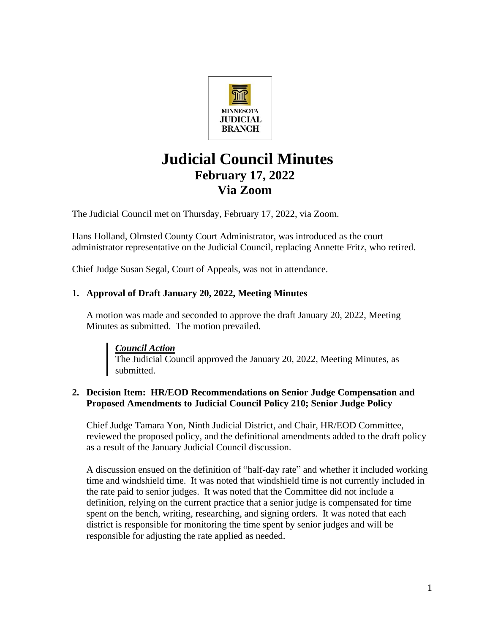

# **Judicial Council Minutes February 17, 2022 Via Zoom**

The Judicial Council met on Thursday, February 17, 2022, via Zoom.

Hans Holland, Olmsted County Court Administrator, was introduced as the court administrator representative on the Judicial Council, replacing Annette Fritz, who retired.

Chief Judge Susan Segal, Court of Appeals, was not in attendance.

## **1. Approval of Draft January 20, 2022, Meeting Minutes**

A motion was made and seconded to approve the draft January 20, 2022, Meeting Minutes as submitted. The motion prevailed.

*Council Action* The Judicial Council approved the January 20, 2022, Meeting Minutes, as submitted.

#### **2. Decision Item: HR/EOD Recommendations on Senior Judge Compensation and Proposed Amendments to Judicial Council Policy 210; Senior Judge Policy**

Chief Judge Tamara Yon, Ninth Judicial District, and Chair, HR/EOD Committee, reviewed the proposed policy, and the definitional amendments added to the draft policy as a result of the January Judicial Council discussion.

A discussion ensued on the definition of "half-day rate" and whether it included working time and windshield time. It was noted that windshield time is not currently included in the rate paid to senior judges. It was noted that the Committee did not include a definition, relying on the current practice that a senior judge is compensated for time spent on the bench, writing, researching, and signing orders. It was noted that each district is responsible for monitoring the time spent by senior judges and will be responsible for adjusting the rate applied as needed.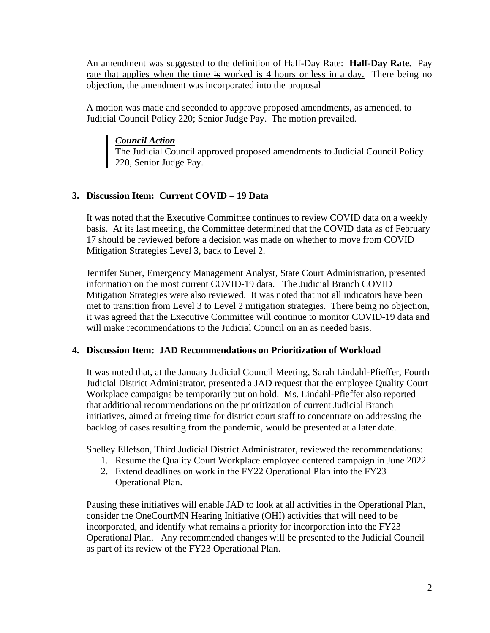An amendment was suggested to the definition of Half-Day Rate: **Half**-**Day Rate.** Pay rate that applies when the time is worked is 4 hours or less in a day. There being no objection, the amendment was incorporated into the proposal

A motion was made and seconded to approve proposed amendments, as amended, to Judicial Council Policy 220; Senior Judge Pay. The motion prevailed.

#### *Council Action*

The Judicial Council approved proposed amendments to Judicial Council Policy 220, Senior Judge Pay.

### **3. Discussion Item: Current COVID – 19 Data**

It was noted that the Executive Committee continues to review COVID data on a weekly basis. At its last meeting, the Committee determined that the COVID data as of February 17 should be reviewed before a decision was made on whether to move from COVID Mitigation Strategies Level 3, back to Level 2.

Jennifer Super, Emergency Management Analyst, State Court Administration, presented information on the most current COVID-19 data. The Judicial Branch COVID Mitigation Strategies were also reviewed. It was noted that not all indicators have been met to transition from Level 3 to Level 2 mitigation strategies. There being no objection, it was agreed that the Executive Committee will continue to monitor COVID-19 data and will make recommendations to the Judicial Council on an as needed basis.

#### **4. Discussion Item: JAD Recommendations on Prioritization of Workload**

It was noted that, at the January Judicial Council Meeting, Sarah Lindahl-Pfieffer, Fourth Judicial District Administrator, presented a JAD request that the employee Quality Court Workplace campaigns be temporarily put on hold. Ms. Lindahl-Pfieffer also reported that additional recommendations on the prioritization of current Judicial Branch initiatives, aimed at freeing time for district court staff to concentrate on addressing the backlog of cases resulting from the pandemic, would be presented at a later date.

Shelley Ellefson, Third Judicial District Administrator, reviewed the recommendations:

- 1. Resume the Quality Court Workplace employee centered campaign in June 2022.
- 2. Extend deadlines on work in the FY22 Operational Plan into the FY23 Operational Plan.

Pausing these initiatives will enable JAD to look at all activities in the Operational Plan, consider the OneCourtMN Hearing Initiative (OHI) activities that will need to be incorporated, and identify what remains a priority for incorporation into the FY23 Operational Plan. Any recommended changes will be presented to the Judicial Council as part of its review of the FY23 Operational Plan.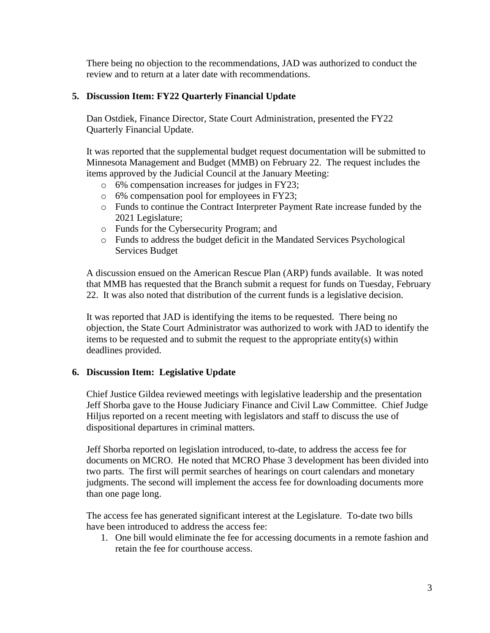There being no objection to the recommendations, JAD was authorized to conduct the review and to return at a later date with recommendations.

#### **5. Discussion Item: FY22 Quarterly Financial Update**

Dan Ostdiek, Finance Director, State Court Administration, presented the FY22 Quarterly Financial Update.

It was reported that the supplemental budget request documentation will be submitted to Minnesota Management and Budget (MMB) on February 22. The request includes the items approved by the Judicial Council at the January Meeting:

- o 6% compensation increases for judges in FY23;
- o 6% compensation pool for employees in FY23;
- o Funds to continue the Contract Interpreter Payment Rate increase funded by the 2021 Legislature;
- o Funds for the Cybersecurity Program; and
- o Funds to address the budget deficit in the Mandated Services Psychological Services Budget

A discussion ensued on the American Rescue Plan (ARP) funds available. It was noted that MMB has requested that the Branch submit a request for funds on Tuesday, February 22. It was also noted that distribution of the current funds is a legislative decision.

It was reported that JAD is identifying the items to be requested. There being no objection, the State Court Administrator was authorized to work with JAD to identify the items to be requested and to submit the request to the appropriate entity(s) within deadlines provided.

#### **6. Discussion Item: Legislative Update**

Chief Justice Gildea reviewed meetings with legislative leadership and the presentation Jeff Shorba gave to the House Judiciary Finance and Civil Law Committee. Chief Judge Hiljus reported on a recent meeting with legislators and staff to discuss the use of dispositional departures in criminal matters.

Jeff Shorba reported on legislation introduced, to-date, to address the access fee for documents on MCRO. He noted that MCRO Phase 3 development has been divided into two parts. The first will permit searches of hearings on court calendars and monetary judgments. The second will implement the access fee for downloading documents more than one page long.

The access fee has generated significant interest at the Legislature. To-date two bills have been introduced to address the access fee:

1. One bill would eliminate the fee for accessing documents in a remote fashion and retain the fee for courthouse access.